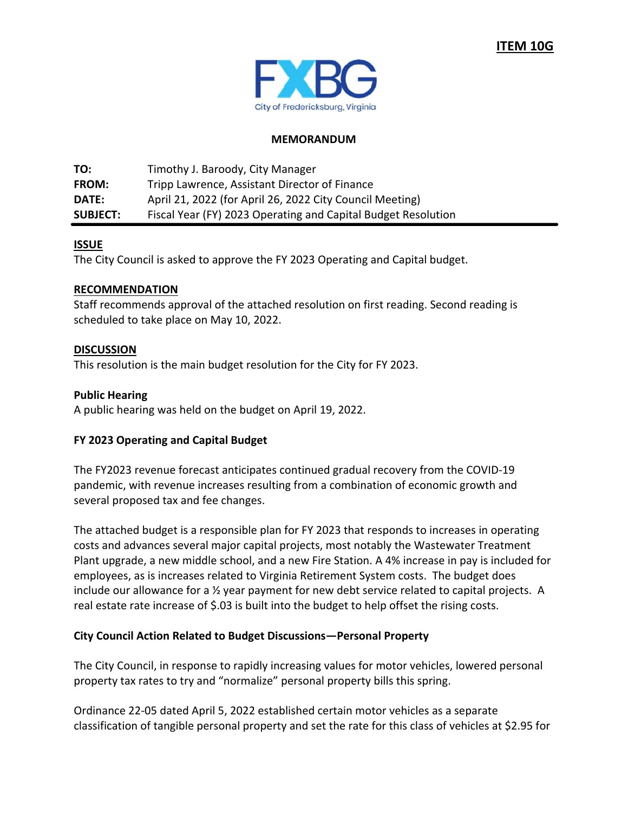

## **MEMORANDUM**

**TO:** Timothy J. Baroody, City Manager **FROM:** Tripp Lawrence, Assistant Director of Finance **DATE:**  April 21, 2022 (for April 26, 2022 City Council Meeting) **SUBJECT:**  Fiscal Year (FY) 2023 Operating and Capital Budget Resolution

## **ISSUE**

The City Council is asked to approve the FY 2023 Operating and Capital budget.

#### **RECOMMENDATION**

Staff recommends approval of the attached resolution on first reading. Second reading is scheduled to take place on May 10, 2022.

#### **DISCUSSION**

This resolution is the main budget resolution for the City for FY 2023.

## **Public Hearing**

A public hearing was held on the budget on April 19, 2022.

# **FY 2023 Operating and Capital Budget**

The FY2023 revenue forecast anticipates continued gradual recovery from the COVID‐19 pandemic, with revenue increases resulting from a combination of economic growth and several proposed tax and fee changes.

The attached budget is a responsible plan for FY 2023 that responds to increases in operating costs and advances several major capital projects, most notably the Wastewater Treatment Plant upgrade, a new middle school, and a new Fire Station. A 4% increase in pay is included for employees, as is increases related to Virginia Retirement System costs. The budget does include our allowance for a 1/2 year payment for new debt service related to capital projects. A real estate rate increase of \$.03 is built into the budget to help offset the rising costs.

#### **City Council Action Related to Budget Discussions—Personal Property**

The City Council, in response to rapidly increasing values for motor vehicles, lowered personal property tax rates to try and "normalize" personal property bills this spring.

Ordinance 22‐05 dated April 5, 2022 established certain motor vehicles as a separate classification of tangible personal property and set the rate for this class of vehicles at \$2.95 for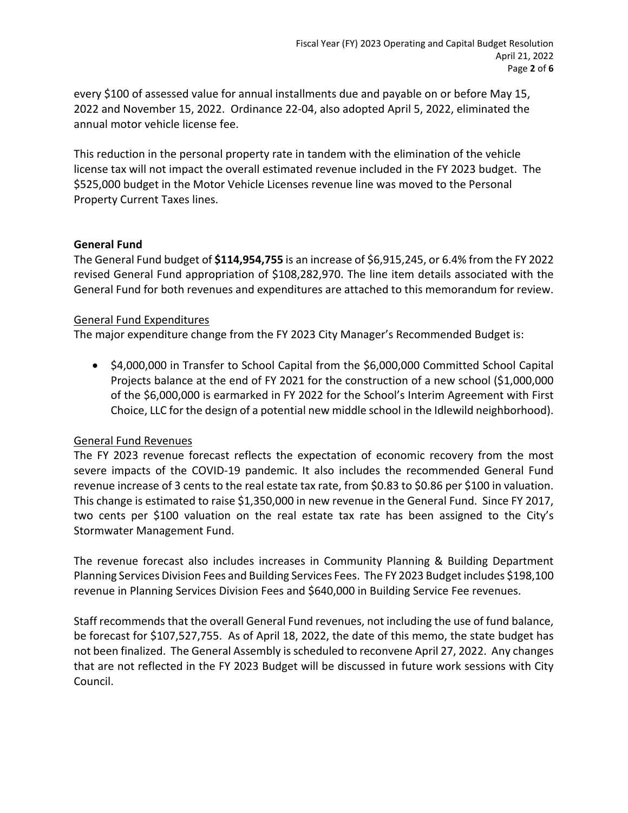every \$100 of assessed value for annual installments due and payable on or before May 15, 2022 and November 15, 2022. Ordinance 22‐04, also adopted April 5, 2022, eliminated the annual motor vehicle license fee.

This reduction in the personal property rate in tandem with the elimination of the vehicle license tax will not impact the overall estimated revenue included in the FY 2023 budget. The \$525,000 budget in the Motor Vehicle Licenses revenue line was moved to the Personal Property Current Taxes lines.

# **General Fund**

The General Fund budget of **\$114,954,755** is an increase of \$6,915,245, or 6.4% from the FY 2022 revised General Fund appropriation of \$108,282,970. The line item details associated with the General Fund for both revenues and expenditures are attached to this memorandum for review.

## General Fund Expenditures

The major expenditure change from the FY 2023 City Manager's Recommended Budget is:

 \$4,000,000 in Transfer to School Capital from the \$6,000,000 Committed School Capital Projects balance at the end of FY 2021 for the construction of a new school (\$1,000,000 of the \$6,000,000 is earmarked in FY 2022 for the School's Interim Agreement with First Choice, LLC for the design of a potential new middle school in the Idlewild neighborhood).

# General Fund Revenues

The FY 2023 revenue forecast reflects the expectation of economic recovery from the most severe impacts of the COVID-19 pandemic. It also includes the recommended General Fund revenue increase of 3 cents to the real estate tax rate, from \$0.83 to \$0.86 per \$100 in valuation. This change is estimated to raise \$1,350,000 in new revenue in the General Fund. Since FY 2017, two cents per \$100 valuation on the real estate tax rate has been assigned to the City's Stormwater Management Fund.

The revenue forecast also includes increases in Community Planning & Building Department Planning Services Division Fees and Building Services Fees. The FY 2023 Budget includes \$198,100 revenue in Planning Services Division Fees and \$640,000 in Building Service Fee revenues.

Staff recommends that the overall General Fund revenues, not including the use of fund balance, be forecast for \$107,527,755. As of April 18, 2022, the date of this memo, the state budget has not been finalized. The General Assembly is scheduled to reconvene April 27, 2022. Any changes that are not reflected in the FY 2023 Budget will be discussed in future work sessions with City Council.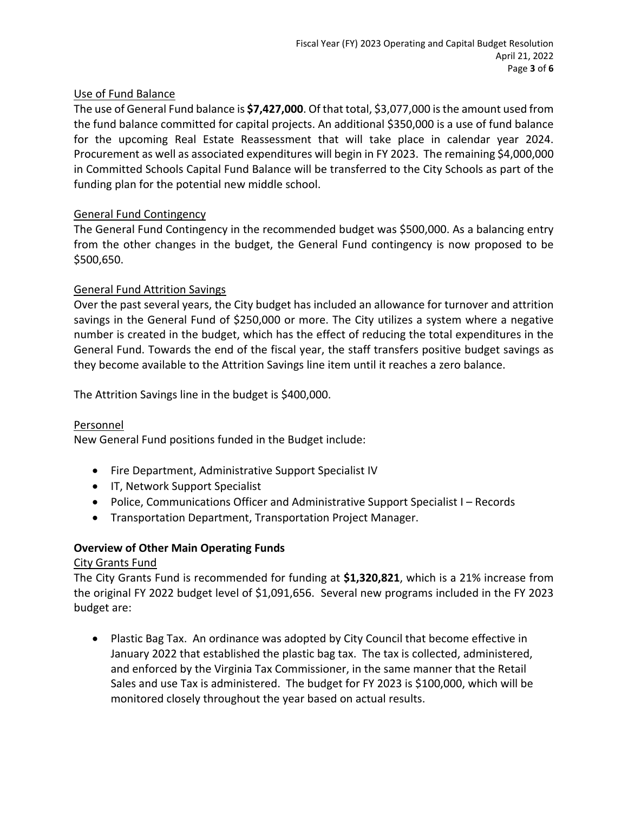# Use of Fund Balance

The use of General Fund balance is **\$7,427,000**. Of that total, \$3,077,000 is the amount used from the fund balance committed for capital projects. An additional \$350,000 is a use of fund balance for the upcoming Real Estate Reassessment that will take place in calendar year 2024. Procurement as well as associated expenditures will begin in FY 2023. The remaining \$4,000,000 in Committed Schools Capital Fund Balance will be transferred to the City Schools as part of the funding plan for the potential new middle school.

# General Fund Contingency

The General Fund Contingency in the recommended budget was \$500,000. As a balancing entry from the other changes in the budget, the General Fund contingency is now proposed to be \$500,650.

# General Fund Attrition Savings

Over the past several years, the City budget has included an allowance for turnover and attrition savings in the General Fund of \$250,000 or more. The City utilizes a system where a negative number is created in the budget, which has the effect of reducing the total expenditures in the General Fund. Towards the end of the fiscal year, the staff transfers positive budget savings as they become available to the Attrition Savings line item until it reaches a zero balance.

The Attrition Savings line in the budget is \$400,000.

# Personnel

New General Fund positions funded in the Budget include:

- Fire Department, Administrative Support Specialist IV
- **•** IT, Network Support Specialist
- Police, Communications Officer and Administrative Support Specialist I Records
- Transportation Department, Transportation Project Manager.

# **Overview of Other Main Operating Funds**

# City Grants Fund

The City Grants Fund is recommended for funding at **\$1,320,821**, which is a 21% increase from the original FY 2022 budget level of \$1,091,656. Several new programs included in the FY 2023 budget are:

• Plastic Bag Tax. An ordinance was adopted by City Council that become effective in January 2022 that established the plastic bag tax. The tax is collected, administered, and enforced by the Virginia Tax Commissioner, in the same manner that the Retail Sales and use Tax is administered. The budget for FY 2023 is \$100,000, which will be monitored closely throughout the year based on actual results.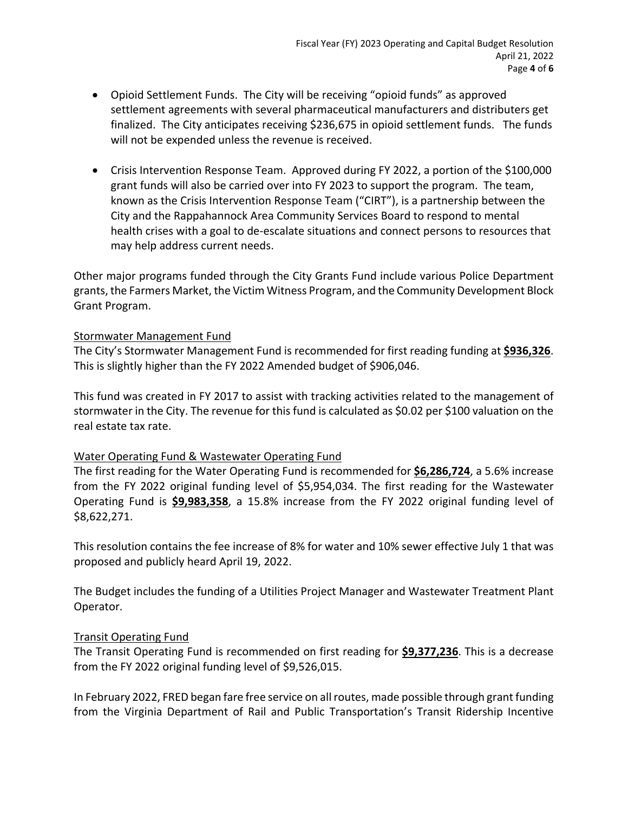- Opioid Settlement Funds. The City will be receiving "opioid funds" as approved settlement agreements with several pharmaceutical manufacturers and distributers get finalized. The City anticipates receiving \$236,675 in opioid settlement funds. The funds will not be expended unless the revenue is received.
- Crisis Intervention Response Team. Approved during FY 2022, a portion of the \$100,000 grant funds will also be carried over into FY 2023 to support the program. The team, known as the Crisis Intervention Response Team ("CIRT"), is a partnership between the City and the Rappahannock Area Community Services Board to respond to mental health crises with a goal to de‐escalate situations and connect persons to resources that may help address current needs.

Other major programs funded through the City Grants Fund include various Police Department grants, the Farmers Market, the Victim Witness Program, and the Community Development Block Grant Program.

#### Stormwater Management Fund

The City's Stormwater Management Fund is recommended for first reading funding at **\$936,326**. This is slightly higher than the FY 2022 Amended budget of \$906,046.

This fund was created in FY 2017 to assist with tracking activities related to the management of stormwater in the City. The revenue for this fund is calculated as \$0.02 per \$100 valuation on the real estate tax rate.

# Water Operating Fund & Wastewater Operating Fund

The first reading for the Water Operating Fund is recommended for **\$6,286,724**, a 5.6% increase from the FY 2022 original funding level of \$5,954,034. The first reading for the Wastewater Operating Fund is **\$9,983,358**, a 15.8% increase from the FY 2022 original funding level of \$8,622,271.

This resolution contains the fee increase of 8% for water and 10% sewer effective July 1 that was proposed and publicly heard April 19, 2022.

The Budget includes the funding of a Utilities Project Manager and Wastewater Treatment Plant Operator.

# Transit Operating Fund

The Transit Operating Fund is recommended on first reading for **\$9,377,236**. This is a decrease from the FY 2022 original funding level of \$9,526,015.

In February 2022, FRED began fare free service on all routes, made possible through grant funding from the Virginia Department of Rail and Public Transportation's Transit Ridership Incentive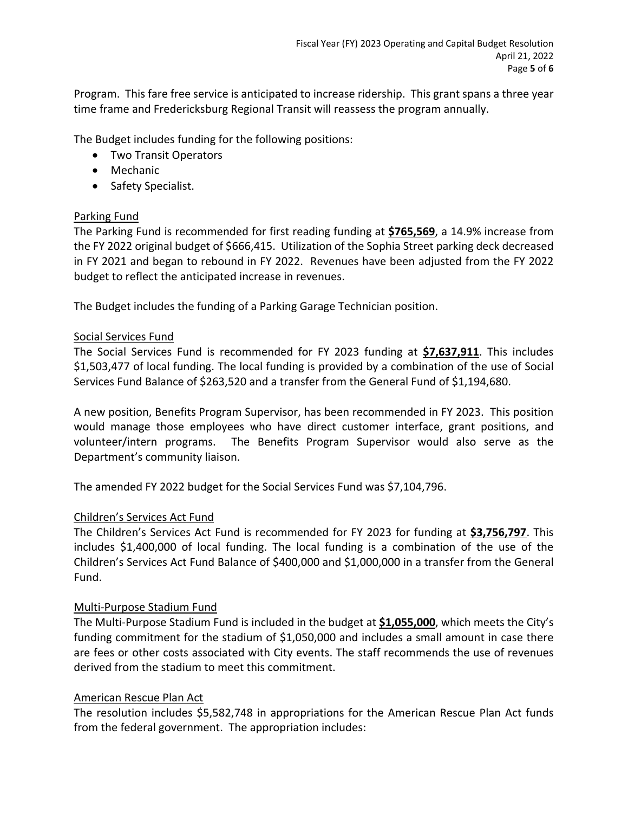Program. This fare free service is anticipated to increase ridership. This grant spans a three year time frame and Fredericksburg Regional Transit will reassess the program annually.

The Budget includes funding for the following positions:

- Two Transit Operators
- Mechanic
- Safety Specialist.

# Parking Fund

The Parking Fund is recommended for first reading funding at **\$765,569**, a 14.9% increase from the FY 2022 original budget of \$666,415. Utilization of the Sophia Street parking deck decreased in FY 2021 and began to rebound in FY 2022. Revenues have been adjusted from the FY 2022 budget to reflect the anticipated increase in revenues.

The Budget includes the funding of a Parking Garage Technician position.

#### Social Services Fund

The Social Services Fund is recommended for FY 2023 funding at **\$7,637,911**. This includes \$1,503,477 of local funding. The local funding is provided by a combination of the use of Social Services Fund Balance of \$263,520 and a transfer from the General Fund of \$1,194,680.

A new position, Benefits Program Supervisor, has been recommended in FY 2023. This position would manage those employees who have direct customer interface, grant positions, and volunteer/intern programs. The Benefits Program Supervisor would also serve as the Department's community liaison.

The amended FY 2022 budget for the Social Services Fund was \$7,104,796.

#### Children's Services Act Fund

The Children's Services Act Fund is recommended for FY 2023 for funding at **\$3,756,797**. This includes \$1,400,000 of local funding. The local funding is a combination of the use of the Children's Services Act Fund Balance of \$400,000 and \$1,000,000 in a transfer from the General Fund.

#### Multi‐Purpose Stadium Fund

The Multi‐Purpose Stadium Fund is included in the budget at **\$1,055,000**, which meets the City's funding commitment for the stadium of \$1,050,000 and includes a small amount in case there are fees or other costs associated with City events. The staff recommends the use of revenues derived from the stadium to meet this commitment.

#### American Rescue Plan Act

The resolution includes \$5,582,748 in appropriations for the American Rescue Plan Act funds from the federal government. The appropriation includes: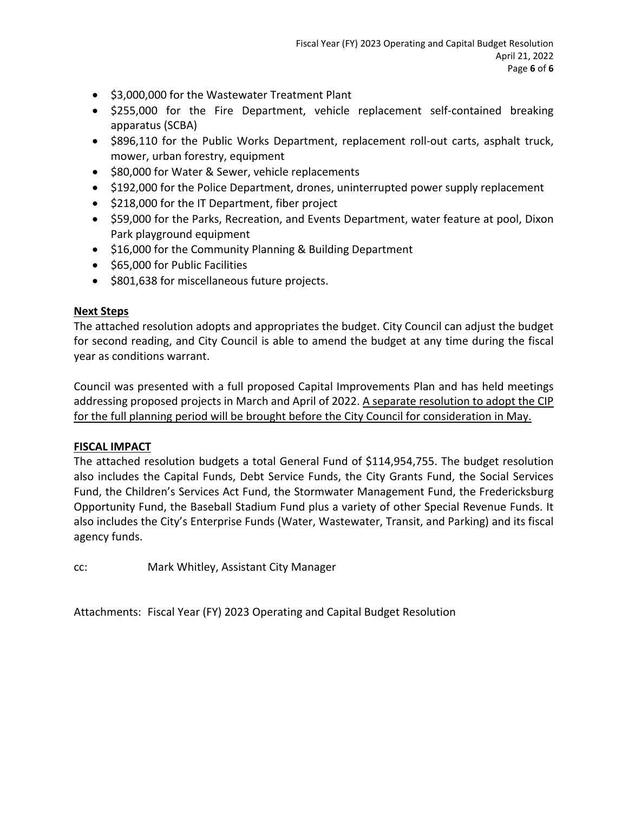- $\bullet$  \$3,000,000 for the Wastewater Treatment Plant
- \$255,000 for the Fire Department, vehicle replacement self-contained breaking apparatus (SCBA)
- \$896,110 for the Public Works Department, replacement roll-out carts, asphalt truck, mower, urban forestry, equipment
- $\bullet$  \$80,000 for Water & Sewer, vehicle replacements
- \$192,000 for the Police Department, drones, uninterrupted power supply replacement
- \$218,000 for the IT Department, fiber project
- \$59,000 for the Parks, Recreation, and Events Department, water feature at pool, Dixon Park playground equipment
- \$16,000 for the Community Planning & Building Department
- $\bullet$  \$65,000 for Public Facilities
- \$801,638 for miscellaneous future projects.

# **Next Steps**

The attached resolution adopts and appropriates the budget. City Council can adjust the budget for second reading, and City Council is able to amend the budget at any time during the fiscal year as conditions warrant.

Council was presented with a full proposed Capital Improvements Plan and has held meetings addressing proposed projects in March and April of 2022. A separate resolution to adopt the CIP for the full planning period will be brought before the City Council for consideration in May.

# **FISCAL IMPACT**

The attached resolution budgets a total General Fund of \$114,954,755. The budget resolution also includes the Capital Funds, Debt Service Funds, the City Grants Fund, the Social Services Fund, the Children's Services Act Fund, the Stormwater Management Fund, the Fredericksburg Opportunity Fund, the Baseball Stadium Fund plus a variety of other Special Revenue Funds. It also includes the City's Enterprise Funds (Water, Wastewater, Transit, and Parking) and its fiscal agency funds.

cc: Mark Whitley, Assistant City Manager

Attachments: Fiscal Year (FY) 2023 Operating and Capital Budget Resolution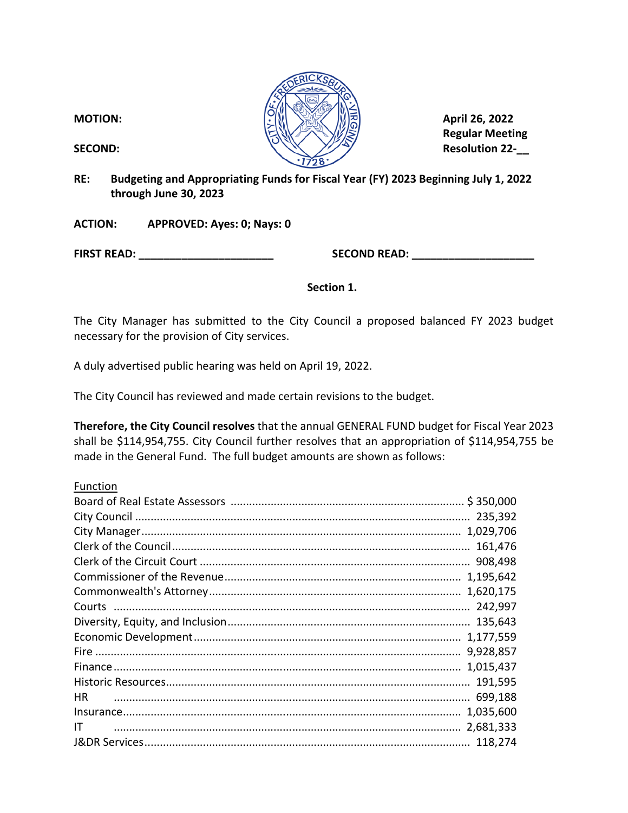**Regular Meeting** 

**RE: Budgeting and Appropriating Funds for Fiscal Year (FY) 2023 Beginning July 1, 2022 through June 30, 2023** 

**ACTION: APPROVED: Ayes: 0; Nays: 0** 

**FIRST READ: \_\_\_\_\_\_\_\_\_\_\_\_\_\_\_\_\_\_\_\_\_\_ SECOND READ: \_\_\_\_\_\_\_\_\_\_\_\_\_\_\_\_\_\_\_\_** 

**Section 1.** 

The City Manager has submitted to the City Council a proposed balanced FY 2023 budget necessary for the provision of City services.

A duly advertised public hearing was held on April 19, 2022.

The City Council has reviewed and made certain revisions to the budget.

**Therefore, the City Council resolves** that the annual GENERAL FUND budget for Fiscal Year 2023 shall be \$114,954,755. City Council further resolves that an appropriation of \$114,954,755 be made in the General Fund. The full budget amounts are shown as follows:

Function

|           | 161,476   |
|-----------|-----------|
|           | 908,498   |
|           | 1,195,642 |
|           |           |
|           |           |
|           |           |
|           | 1,177,559 |
|           | 9,928,857 |
|           | 1,015,437 |
|           |           |
| <b>HR</b> |           |
|           | 1,035,600 |
| IT        | 2,681,333 |
|           |           |

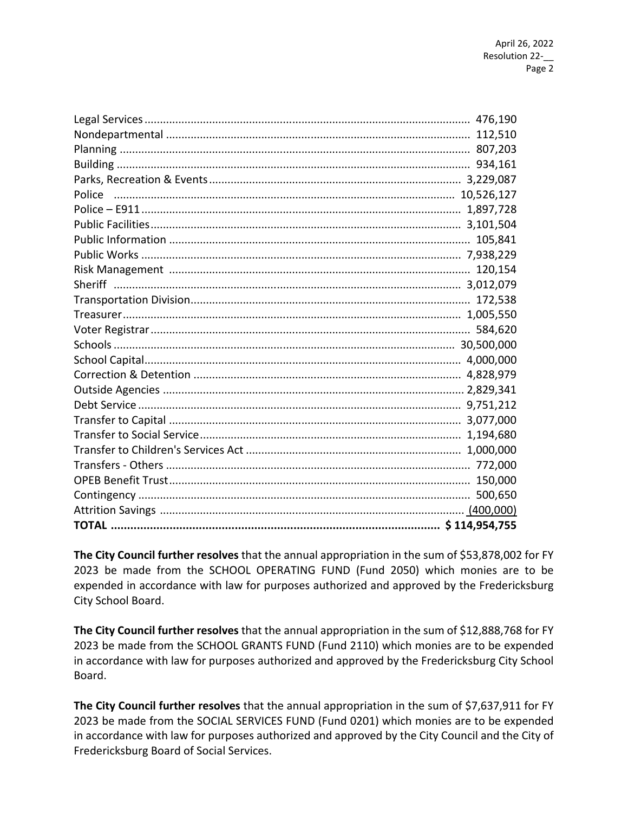**The City Council further resolves** that the annual appropriation in the sum of \$53,878,002 for FY 2023 be made from the SCHOOL OPERATING FUND (Fund 2050) which monies are to be expended in accordance with law for purposes authorized and approved by the Fredericksburg City School Board.

**The City Council further resolves** that the annual appropriation in the sum of \$12,888,768 for FY 2023 be made from the SCHOOL GRANTS FUND (Fund 2110) which monies are to be expended in accordance with law for purposes authorized and approved by the Fredericksburg City School Board.

**The City Council further resolves** that the annual appropriation in the sum of \$7,637,911 for FY 2023 be made from the SOCIAL SERVICES FUND (Fund 0201) which monies are to be expended in accordance with law for purposes authorized and approved by the City Council and the City of Fredericksburg Board of Social Services.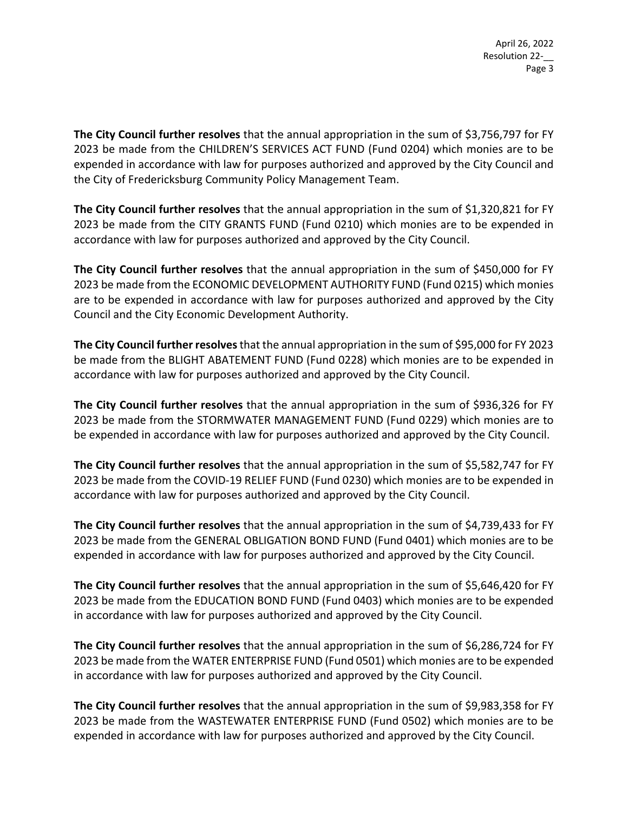**The City Council further resolves** that the annual appropriation in the sum of \$3,756,797 for FY 2023 be made from the CHILDREN'S SERVICES ACT FUND (Fund 0204) which monies are to be expended in accordance with law for purposes authorized and approved by the City Council and the City of Fredericksburg Community Policy Management Team.

**The City Council further resolves** that the annual appropriation in the sum of \$1,320,821 for FY 2023 be made from the CITY GRANTS FUND (Fund 0210) which monies are to be expended in accordance with law for purposes authorized and approved by the City Council.

**The City Council further resolves** that the annual appropriation in the sum of \$450,000 for FY 2023 be made from the ECONOMIC DEVELOPMENT AUTHORITY FUND (Fund 0215) which monies are to be expended in accordance with law for purposes authorized and approved by the City Council and the City Economic Development Authority.

**The City Council further resolves** that the annual appropriation in the sum of \$95,000 for FY 2023 be made from the BLIGHT ABATEMENT FUND (Fund 0228) which monies are to be expended in accordance with law for purposes authorized and approved by the City Council.

**The City Council further resolves** that the annual appropriation in the sum of \$936,326 for FY 2023 be made from the STORMWATER MANAGEMENT FUND (Fund 0229) which monies are to be expended in accordance with law for purposes authorized and approved by the City Council.

**The City Council further resolves** that the annual appropriation in the sum of \$5,582,747 for FY 2023 be made from the COVID‐19 RELIEF FUND (Fund 0230) which monies are to be expended in accordance with law for purposes authorized and approved by the City Council.

**The City Council further resolves** that the annual appropriation in the sum of \$4,739,433 for FY 2023 be made from the GENERAL OBLIGATION BOND FUND (Fund 0401) which monies are to be expended in accordance with law for purposes authorized and approved by the City Council.

**The City Council further resolves** that the annual appropriation in the sum of \$5,646,420 for FY 2023 be made from the EDUCATION BOND FUND (Fund 0403) which monies are to be expended in accordance with law for purposes authorized and approved by the City Council.

**The City Council further resolves** that the annual appropriation in the sum of \$6,286,724 for FY 2023 be made from the WATER ENTERPRISE FUND (Fund 0501) which monies are to be expended in accordance with law for purposes authorized and approved by the City Council.

**The City Council further resolves** that the annual appropriation in the sum of \$9,983,358 for FY 2023 be made from the WASTEWATER ENTERPRISE FUND (Fund 0502) which monies are to be expended in accordance with law for purposes authorized and approved by the City Council.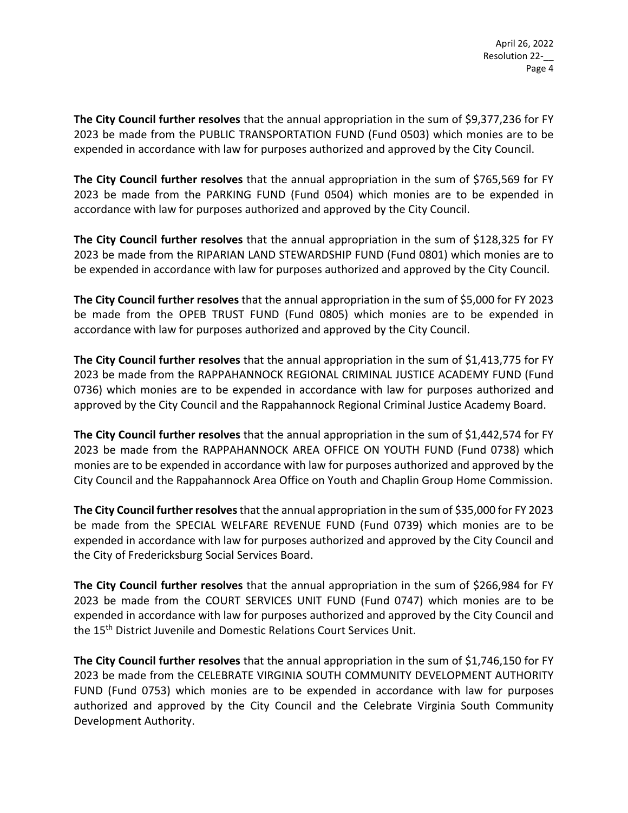**The City Council further resolves** that the annual appropriation in the sum of \$9,377,236 for FY 2023 be made from the PUBLIC TRANSPORTATION FUND (Fund 0503) which monies are to be expended in accordance with law for purposes authorized and approved by the City Council.

**The City Council further resolves** that the annual appropriation in the sum of \$765,569 for FY 2023 be made from the PARKING FUND (Fund 0504) which monies are to be expended in accordance with law for purposes authorized and approved by the City Council.

**The City Council further resolves** that the annual appropriation in the sum of \$128,325 for FY 2023 be made from the RIPARIAN LAND STEWARDSHIP FUND (Fund 0801) which monies are to be expended in accordance with law for purposes authorized and approved by the City Council.

**The City Council further resolves** that the annual appropriation in the sum of \$5,000 for FY 2023 be made from the OPEB TRUST FUND (Fund 0805) which monies are to be expended in accordance with law for purposes authorized and approved by the City Council.

**The City Council further resolves** that the annual appropriation in the sum of \$1,413,775 for FY 2023 be made from the RAPPAHANNOCK REGIONAL CRIMINAL JUSTICE ACADEMY FUND (Fund 0736) which monies are to be expended in accordance with law for purposes authorized and approved by the City Council and the Rappahannock Regional Criminal Justice Academy Board.

**The City Council further resolves** that the annual appropriation in the sum of \$1,442,574 for FY 2023 be made from the RAPPAHANNOCK AREA OFFICE ON YOUTH FUND (Fund 0738) which monies are to be expended in accordance with law for purposes authorized and approved by the City Council and the Rappahannock Area Office on Youth and Chaplin Group Home Commission.

**The City Council further resolves** that the annual appropriation in the sum of \$35,000 for FY 2023 be made from the SPECIAL WELFARE REVENUE FUND (Fund 0739) which monies are to be expended in accordance with law for purposes authorized and approved by the City Council and the City of Fredericksburg Social Services Board.

**The City Council further resolves** that the annual appropriation in the sum of \$266,984 for FY 2023 be made from the COURT SERVICES UNIT FUND (Fund 0747) which monies are to be expended in accordance with law for purposes authorized and approved by the City Council and the 15<sup>th</sup> District Juvenile and Domestic Relations Court Services Unit.

**The City Council further resolves** that the annual appropriation in the sum of \$1,746,150 for FY 2023 be made from the CELEBRATE VIRGINIA SOUTH COMMUNITY DEVELOPMENT AUTHORITY FUND (Fund 0753) which monies are to be expended in accordance with law for purposes authorized and approved by the City Council and the Celebrate Virginia South Community Development Authority.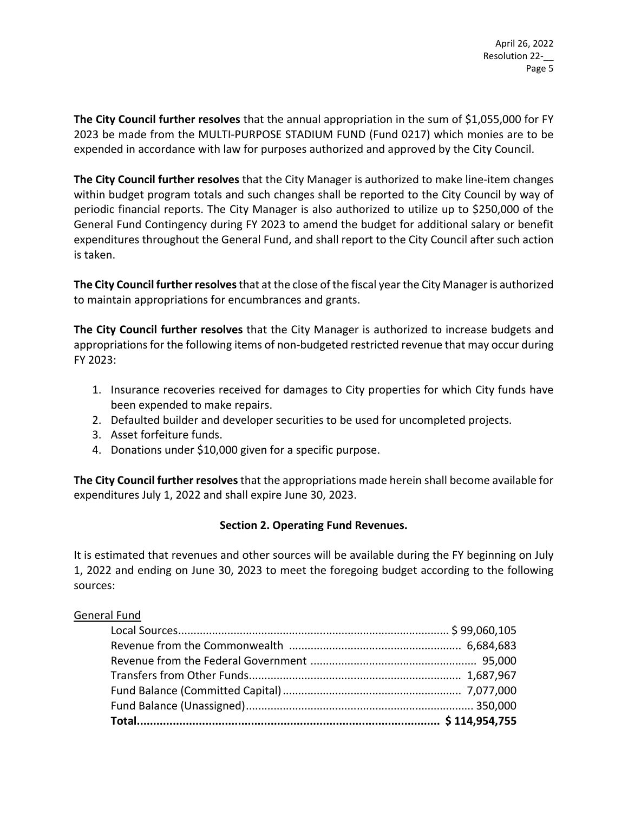**The City Council further resolves** that the annual appropriation in the sum of \$1,055,000 for FY 2023 be made from the MULTI‐PURPOSE STADIUM FUND (Fund 0217) which monies are to be expended in accordance with law for purposes authorized and approved by the City Council.

**The City Council further resolves** that the City Manager is authorized to make line‐item changes within budget program totals and such changes shall be reported to the City Council by way of periodic financial reports. The City Manager is also authorized to utilize up to \$250,000 of the General Fund Contingency during FY 2023 to amend the budget for additional salary or benefit expenditures throughout the General Fund, and shall report to the City Council after such action is taken.

**The City Council further resolves** that at the close of the fiscal year the City Manager is authorized to maintain appropriations for encumbrances and grants.

**The City Council further resolves** that the City Manager is authorized to increase budgets and appropriations for the following items of non-budgeted restricted revenue that may occur during FY 2023:

- 1. Insurance recoveries received for damages to City properties for which City funds have been expended to make repairs.
- 2. Defaulted builder and developer securities to be used for uncompleted projects.
- 3. Asset forfeiture funds.
- 4. Donations under \$10,000 given for a specific purpose.

**The City Council further resolves** that the appropriations made herein shall become available for expenditures July 1, 2022 and shall expire June 30, 2023.

# **Section 2. Operating Fund Revenues.**

It is estimated that revenues and other sources will be available during the FY beginning on July 1, 2022 and ending on June 30, 2023 to meet the foregoing budget according to the following sources:

#### General Fund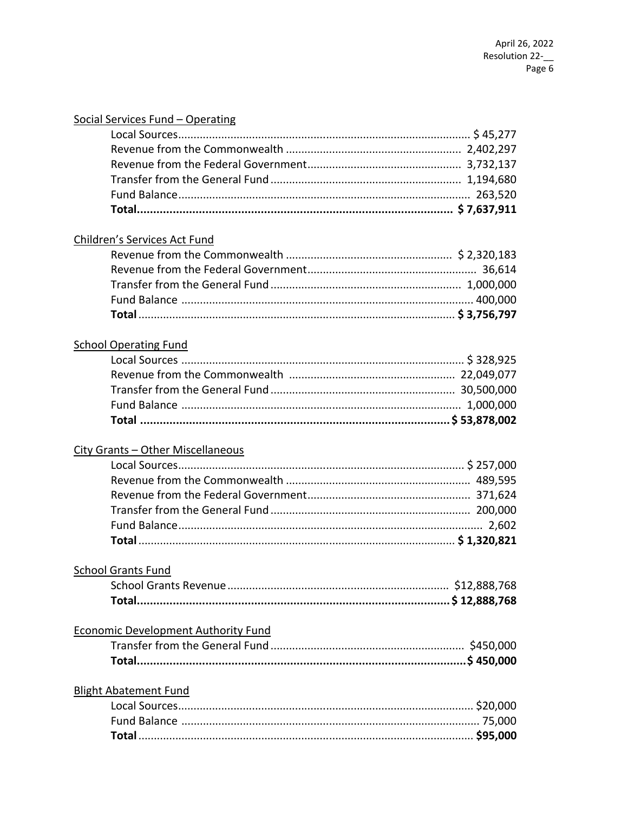| Social Services Fund - Operating           |  |
|--------------------------------------------|--|
|                                            |  |
|                                            |  |
|                                            |  |
|                                            |  |
|                                            |  |
|                                            |  |
| Children's Services Act Fund               |  |
|                                            |  |
|                                            |  |
|                                            |  |
|                                            |  |
|                                            |  |
|                                            |  |
| <b>School Operating Fund</b>               |  |
|                                            |  |
|                                            |  |
|                                            |  |
|                                            |  |
|                                            |  |
| City Grants - Other Miscellaneous          |  |
|                                            |  |
|                                            |  |
|                                            |  |
|                                            |  |
|                                            |  |
|                                            |  |
| <b>School Grants Fund</b>                  |  |
|                                            |  |
|                                            |  |
|                                            |  |
| <b>Economic Development Authority Fund</b> |  |
|                                            |  |
|                                            |  |
| <b>Blight Abatement Fund</b>               |  |
|                                            |  |
|                                            |  |
|                                            |  |
|                                            |  |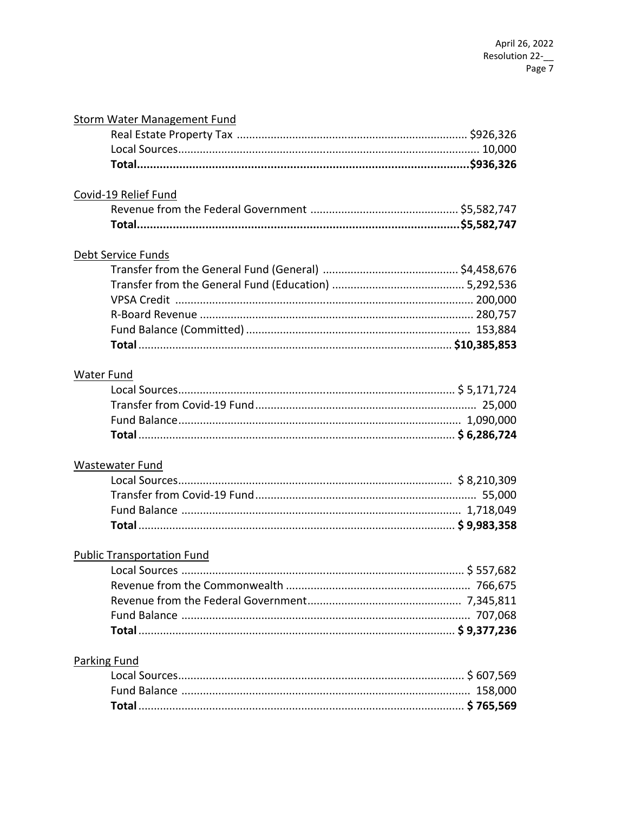## **Storm Water Management Fund**

# Covid-19 Relief Fund

## Debt Service Funds

## **Water Fund**

## **Wastewater Fund**

# **Public Transportation Fund**

## **Parking Fund**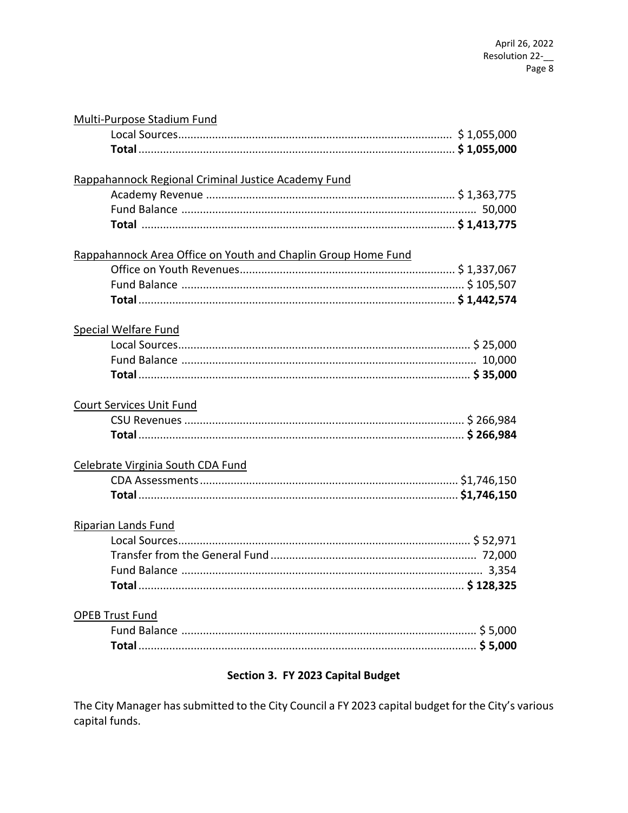| Multi-Purpose Stadium Fund                                    |
|---------------------------------------------------------------|
|                                                               |
|                                                               |
| Rappahannock Regional Criminal Justice Academy Fund           |
|                                                               |
|                                                               |
|                                                               |
| Rappahannock Area Office on Youth and Chaplin Group Home Fund |
|                                                               |
|                                                               |
|                                                               |
| <b>Special Welfare Fund</b>                                   |
|                                                               |
|                                                               |
|                                                               |
| <b>Court Services Unit Fund</b>                               |
|                                                               |
|                                                               |
| Celebrate Virginia South CDA Fund                             |
|                                                               |
|                                                               |
| <b>Riparian Lands Fund</b>                                    |
|                                                               |
|                                                               |
| 3.354                                                         |
|                                                               |
| <b>OPEB Trust Fund</b>                                        |
|                                                               |
|                                                               |
| Section 3. FY 2023 Capital Budget                             |

The City Manager has submitted to the City Council a FY 2023 capital budget for the City's various capital funds.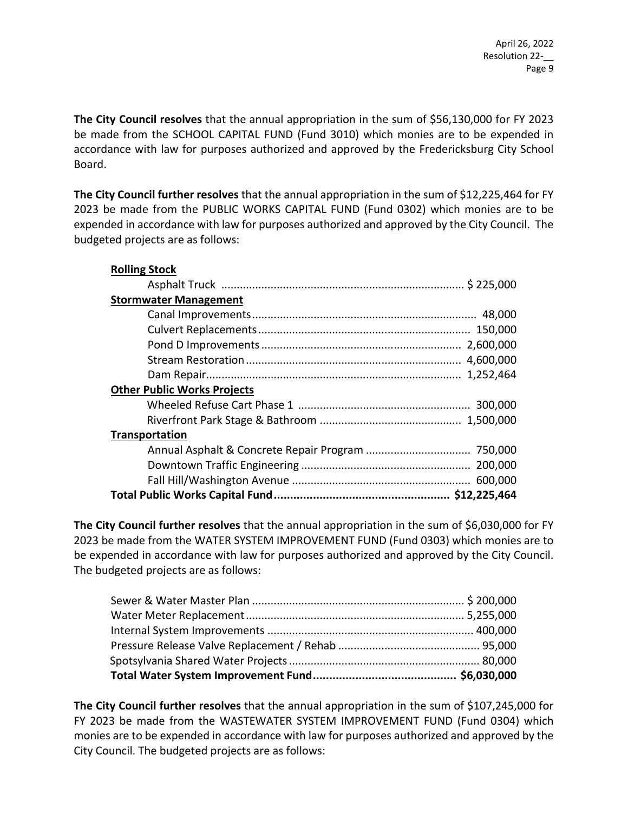**The City Council resolves** that the annual appropriation in the sum of \$56,130,000 for FY 2023 be made from the SCHOOL CAPITAL FUND (Fund 3010) which monies are to be expended in accordance with law for purposes authorized and approved by the Fredericksburg City School Board.

**The City Council further resolves** that the annual appropriation in the sum of \$12,225,464 for FY 2023 be made from the PUBLIC WORKS CAPITAL FUND (Fund 0302) which monies are to be expended in accordance with law for purposes authorized and approved by the City Council. The budgeted projects are as follows:

| <b>Rolling Stock</b>               |  |
|------------------------------------|--|
|                                    |  |
| <b>Stormwater Management</b>       |  |
|                                    |  |
|                                    |  |
|                                    |  |
|                                    |  |
|                                    |  |
| <b>Other Public Works Projects</b> |  |
|                                    |  |
|                                    |  |
| <b>Transportation</b>              |  |
|                                    |  |
|                                    |  |
|                                    |  |
|                                    |  |

**The City Council further resolves** that the annual appropriation in the sum of \$6,030,000 for FY 2023 be made from the WATER SYSTEM IMPROVEMENT FUND (Fund 0303) which monies are to be expended in accordance with law for purposes authorized and approved by the City Council. The budgeted projects are as follows:

**The City Council further resolves** that the annual appropriation in the sum of \$107,245,000 for FY 2023 be made from the WASTEWATER SYSTEM IMPROVEMENT FUND (Fund 0304) which monies are to be expended in accordance with law for purposes authorized and approved by the City Council. The budgeted projects are as follows: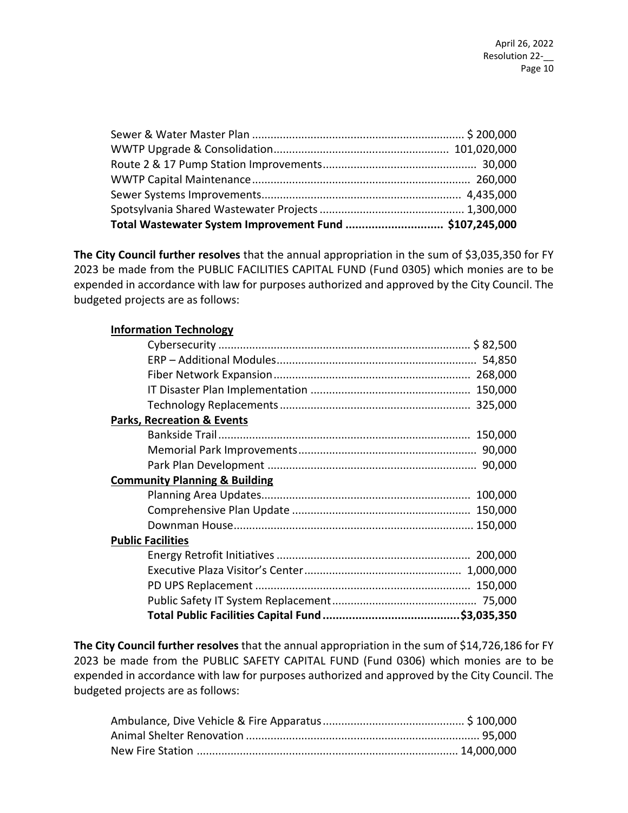| Total Wastewater System Improvement Fund  \$107,245,000 |  |
|---------------------------------------------------------|--|

**The City Council further resolves** that the annual appropriation in the sum of \$3,035,350 for FY 2023 be made from the PUBLIC FACILITIES CAPITAL FUND (Fund 0305) which monies are to be expended in accordance with law for purposes authorized and approved by the City Council. The budgeted projects are as follows:

#### **Information Technology**

| <b>Parks, Recreation &amp; Events</b>    |  |
|------------------------------------------|--|
|                                          |  |
|                                          |  |
|                                          |  |
| <b>Community Planning &amp; Building</b> |  |
|                                          |  |
|                                          |  |
|                                          |  |
| <b>Public Facilities</b>                 |  |
|                                          |  |
|                                          |  |
|                                          |  |
|                                          |  |
|                                          |  |

**The City Council further resolves** that the annual appropriation in the sum of \$14,726,186 for FY 2023 be made from the PUBLIC SAFETY CAPITAL FUND (Fund 0306) which monies are to be expended in accordance with law for purposes authorized and approved by the City Council. The budgeted projects are as follows: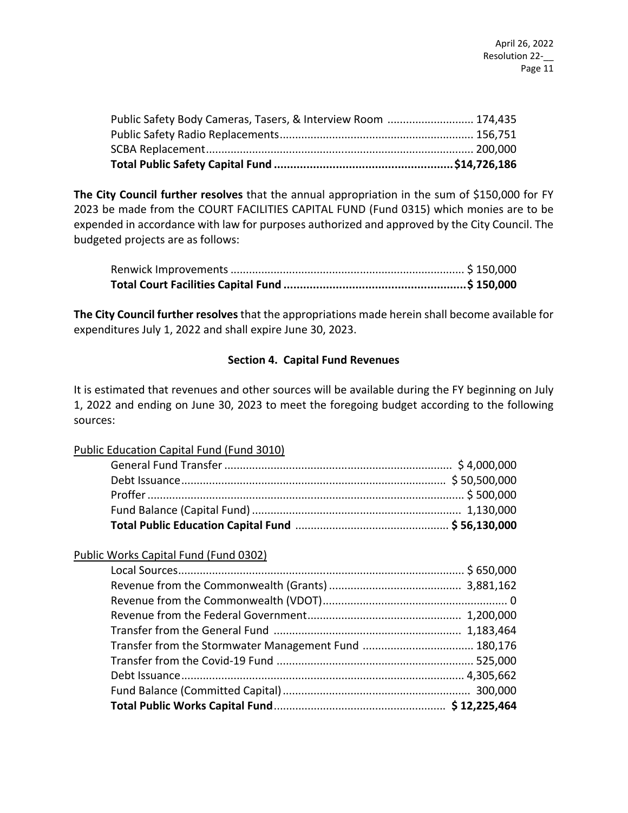| Public Safety Body Cameras, Tasers, & Interview Room  174,435 |  |
|---------------------------------------------------------------|--|

**The City Council further resolves** that the annual appropriation in the sum of \$150,000 for FY 2023 be made from the COURT FACILITIES CAPITAL FUND (Fund 0315) which monies are to be expended in accordance with law for purposes authorized and approved by the City Council. The budgeted projects are as follows:

**The City Council further resolves** that the appropriations made herein shall become available for expenditures July 1, 2022 and shall expire June 30, 2023.

#### **Section 4. Capital Fund Revenues**

It is estimated that revenues and other sources will be available during the FY beginning on July 1, 2022 and ending on June 30, 2023 to meet the foregoing budget according to the following sources:

#### Public Education Capital Fund (Fund 3010)

#### Public Works Capital Fund (Fund 0302)

| Transfer from the Stormwater Management Fund  180,176 |  |
|-------------------------------------------------------|--|
|                                                       |  |
|                                                       |  |
|                                                       |  |
|                                                       |  |
|                                                       |  |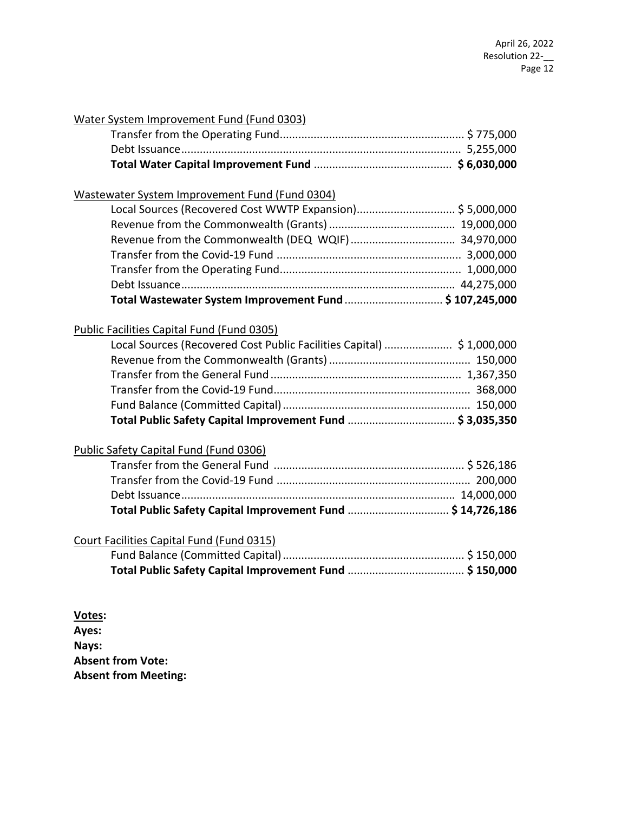| Water System Improvement Fund (Fund 0303)                              |  |
|------------------------------------------------------------------------|--|
|                                                                        |  |
|                                                                        |  |
|                                                                        |  |
| Wastewater System Improvement Fund (Fund 0304)                         |  |
|                                                                        |  |
|                                                                        |  |
|                                                                        |  |
|                                                                        |  |
|                                                                        |  |
|                                                                        |  |
| Total Wastewater System Improvement Fund  \$107,245,000                |  |
| Public Facilities Capital Fund (Fund 0305)                             |  |
| Local Sources (Recovered Cost Public Facilities Capital)  \$ 1,000,000 |  |
|                                                                        |  |
|                                                                        |  |
|                                                                        |  |
|                                                                        |  |
|                                                                        |  |
| Public Safety Capital Fund (Fund 0306)                                 |  |
|                                                                        |  |
|                                                                        |  |
|                                                                        |  |
|                                                                        |  |
| Court Facilities Capital Fund (Fund 0315)                              |  |
|                                                                        |  |
|                                                                        |  |
|                                                                        |  |
|                                                                        |  |
| Votes:<br>Aves.                                                        |  |

**Ayes: Nays: Absent from Vote: Absent from Meeting:**